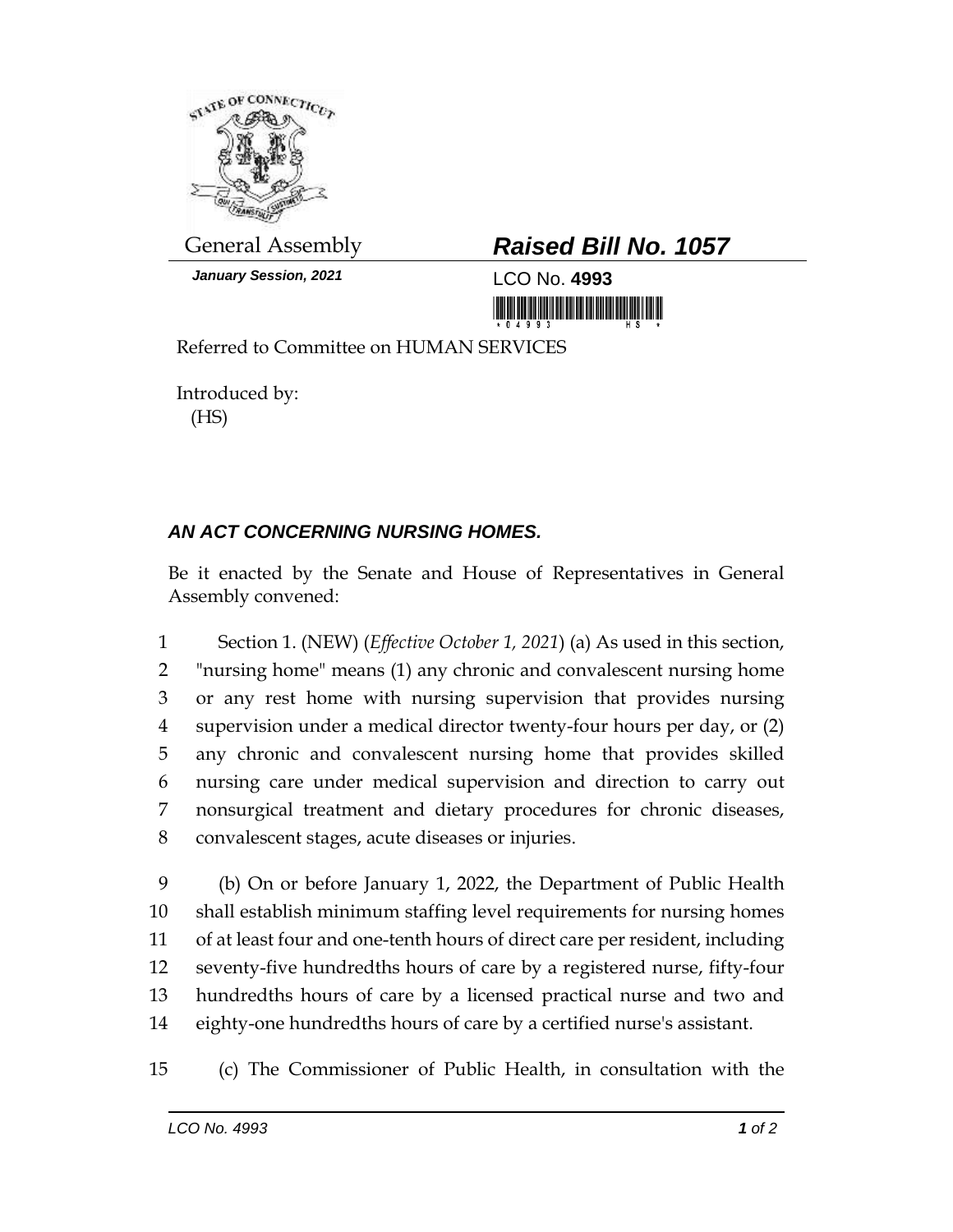

*January Session, 2021* LCO No. **4993**

## General Assembly *Raised Bill No. 1057*

Referred to Committee on HUMAN SERVICES

Introduced by: (HS)

## *AN ACT CONCERNING NURSING HOMES.*

Be it enacted by the Senate and House of Representatives in General Assembly convened:

 Section 1. (NEW) (*Effective October 1, 2021*) (a) As used in this section, "nursing home" means (1) any chronic and convalescent nursing home or any rest home with nursing supervision that provides nursing supervision under a medical director twenty-four hours per day, or (2) any chronic and convalescent nursing home that provides skilled nursing care under medical supervision and direction to carry out nonsurgical treatment and dietary procedures for chronic diseases, convalescent stages, acute diseases or injuries.

 (b) On or before January 1, 2022, the Department of Public Health shall establish minimum staffing level requirements for nursing homes of at least four and one-tenth hours of direct care per resident, including seventy-five hundredths hours of care by a registered nurse, fifty-four hundredths hours of care by a licensed practical nurse and two and eighty-one hundredths hours of care by a certified nurse's assistant.

(c) The Commissioner of Public Health, in consultation with the